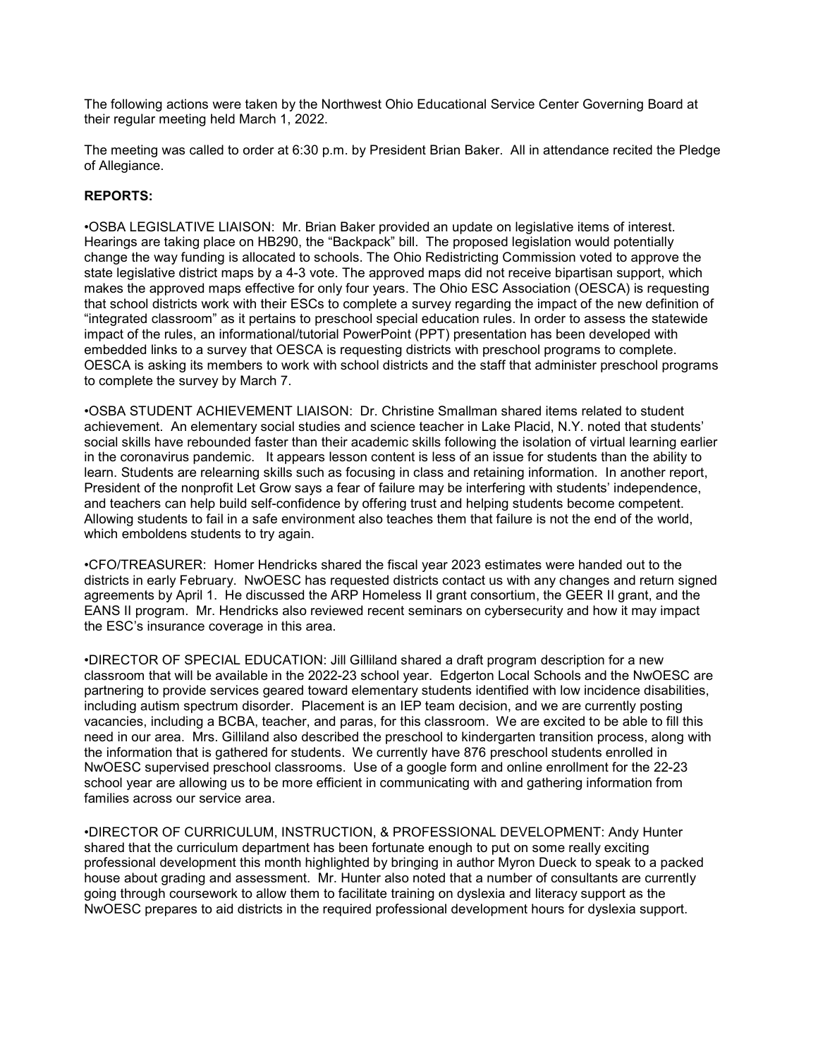The following actions were taken by the Northwest Ohio Educational Service Center Governing Board at their regular meeting held March 1, 2022.

The meeting was called to order at 6:30 p.m. by President Brian Baker. All in attendance recited the Pledge of Allegiance.

## REPORTS:

•OSBA LEGISLATIVE LIAISON: Mr. Brian Baker provided an update on legislative items of interest. Hearings are taking place on HB290, the "Backpack" bill. The proposed legislation would potentially change the way funding is allocated to schools. The Ohio Redistricting Commission voted to approve the state legislative district maps by a 4-3 vote. The approved maps did not receive bipartisan support, which makes the approved maps effective for only four years. The Ohio ESC Association (OESCA) is requesting that school districts work with their ESCs to complete a survey regarding the impact of the new definition of "integrated classroom" as it pertains to preschool special education rules. In order to assess the statewide impact of the rules, an informational/tutorial PowerPoint (PPT) presentation has been developed with embedded links to a survey that OESCA is requesting districts with preschool programs to complete. OESCA is asking its members to work with school districts and the staff that administer preschool programs to complete the survey by March 7.

•OSBA STUDENT ACHIEVEMENT LIAISON: Dr. Christine Smallman shared items related to student achievement. An elementary social studies and science teacher in Lake Placid, N.Y. noted that students' social skills have rebounded faster than their academic skills following the isolation of virtual learning earlier in the coronavirus pandemic. It appears lesson content is less of an issue for students than the ability to learn. Students are relearning skills such as focusing in class and retaining information. In another report, President of the nonprofit Let Grow says a fear of failure may be interfering with students' independence, and teachers can help build self-confidence by offering trust and helping students become competent. Allowing students to fail in a safe environment also teaches them that failure is not the end of the world, which emboldens students to try again.

•CFO/TREASURER: Homer Hendricks shared the fiscal year 2023 estimates were handed out to the districts in early February. NwOESC has requested districts contact us with any changes and return signed agreements by April 1. He discussed the ARP Homeless II grant consortium, the GEER II grant, and the EANS II program. Mr. Hendricks also reviewed recent seminars on cybersecurity and how it may impact the ESC's insurance coverage in this area.

•DIRECTOR OF SPECIAL EDUCATION: Jill Gilliland shared a draft program description for a new classroom that will be available in the 2022-23 school year. Edgerton Local Schools and the NwOESC are partnering to provide services geared toward elementary students identified with low incidence disabilities, including autism spectrum disorder. Placement is an IEP team decision, and we are currently posting vacancies, including a BCBA, teacher, and paras, for this classroom. We are excited to be able to fill this need in our area. Mrs. Gilliland also described the preschool to kindergarten transition process, along with the information that is gathered for students. We currently have 876 preschool students enrolled in NwOESC supervised preschool classrooms. Use of a google form and online enrollment for the 22-23 school year are allowing us to be more efficient in communicating with and gathering information from families across our service area.

•DIRECTOR OF CURRICULUM, INSTRUCTION, & PROFESSIONAL DEVELOPMENT: Andy Hunter shared that the curriculum department has been fortunate enough to put on some really exciting professional development this month highlighted by bringing in author Myron Dueck to speak to a packed house about grading and assessment. Mr. Hunter also noted that a number of consultants are currently going through coursework to allow them to facilitate training on dyslexia and literacy support as the NwOESC prepares to aid districts in the required professional development hours for dyslexia support.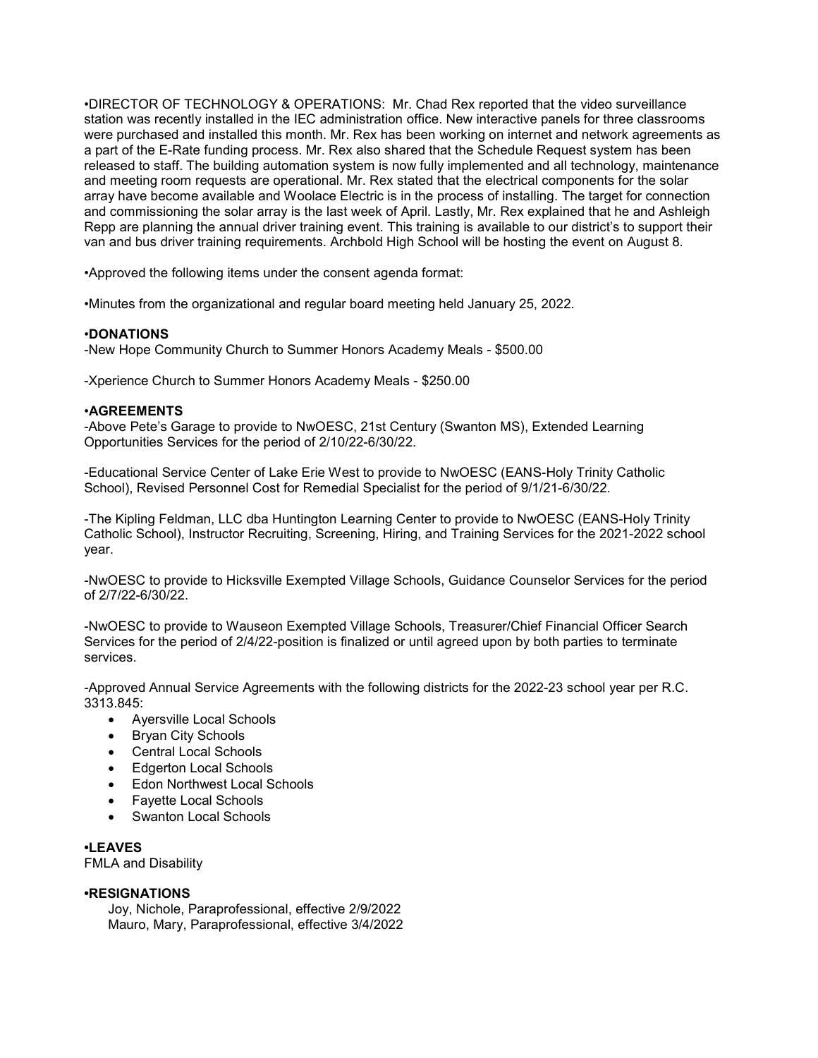•DIRECTOR OF TECHNOLOGY & OPERATIONS: Mr. Chad Rex reported that the video surveillance station was recently installed in the IEC administration office. New interactive panels for three classrooms were purchased and installed this month. Mr. Rex has been working on internet and network agreements as a part of the E-Rate funding process. Mr. Rex also shared that the Schedule Request system has been released to staff. The building automation system is now fully implemented and all technology, maintenance and meeting room requests are operational. Mr. Rex stated that the electrical components for the solar array have become available and Woolace Electric is in the process of installing. The target for connection and commissioning the solar array is the last week of April. Lastly, Mr. Rex explained that he and Ashleigh Repp are planning the annual driver training event. This training is available to our district's to support their van and bus driver training requirements. Archbold High School will be hosting the event on August 8.

•Approved the following items under the consent agenda format:

•Minutes from the organizational and regular board meeting held January 25, 2022.

## •DONATIONS

-New Hope Community Church to Summer Honors Academy Meals - \$500.00

-Xperience Church to Summer Honors Academy Meals - \$250.00

## •AGREEMENTS

-Above Pete's Garage to provide to NwOESC, 21st Century (Swanton MS), Extended Learning Opportunities Services for the period of 2/10/22-6/30/22.

-Educational Service Center of Lake Erie West to provide to NwOESC (EANS-Holy Trinity Catholic School), Revised Personnel Cost for Remedial Specialist for the period of 9/1/21-6/30/22.

-The Kipling Feldman, LLC dba Huntington Learning Center to provide to NwOESC (EANS-Holy Trinity Catholic School), Instructor Recruiting, Screening, Hiring, and Training Services for the 2021-2022 school year.

-NwOESC to provide to Hicksville Exempted Village Schools, Guidance Counselor Services for the period of 2/7/22-6/30/22.

-NwOESC to provide to Wauseon Exempted Village Schools, Treasurer/Chief Financial Officer Search Services for the period of 2/4/22-position is finalized or until agreed upon by both parties to terminate services.

-Approved Annual Service Agreements with the following districts for the 2022-23 school year per R.C. 3313.845:

- Ayersville Local Schools
- Bryan City Schools
- Central Local Schools
- Edgerton Local Schools
- Edon Northwest Local Schools
- Fayette Local Schools
- Swanton Local Schools

•LEAVES FMLA and Disability

## •RESIGNATIONS

 Joy, Nichole, Paraprofessional, effective 2/9/2022 Mauro, Mary, Paraprofessional, effective 3/4/2022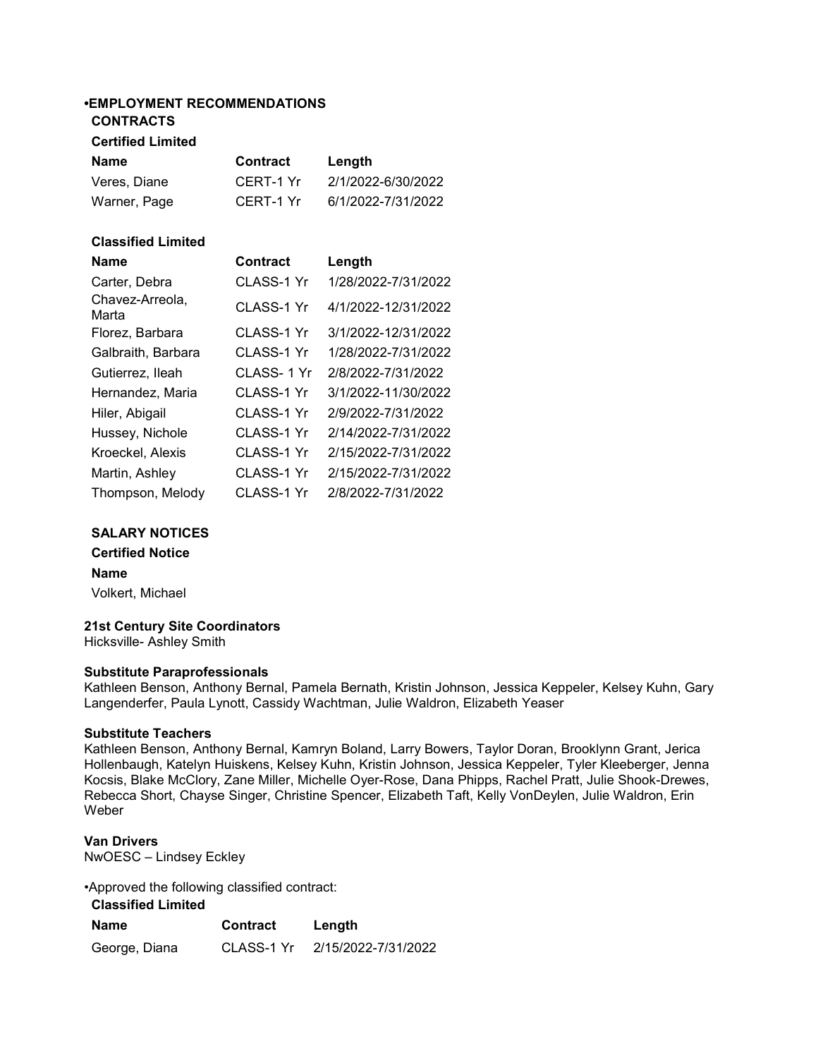# •EMPLOYMENT RECOMMENDATIONS

## CONTRACTS

# Certified Limited

| Name         | <b>Contract</b> | Length             |
|--------------|-----------------|--------------------|
| Veres, Diane | CERT-1 Yr       | 2/1/2022-6/30/2022 |
| Warner, Page | CERT-1 Yr       | 6/1/2022-7/31/2022 |

## Classified Limited

| <b>Name</b>              | <b>Contract</b> | Length              |
|--------------------------|-----------------|---------------------|
| Carter, Debra            | CLASS-1 Yr      | 1/28/2022-7/31/2022 |
| Chavez-Arreola,<br>Marta | CLASS-1 Yr      | 4/1/2022-12/31/2022 |
| Florez, Barbara          | CLASS-1 Yr      | 3/1/2022-12/31/2022 |
| Galbraith, Barbara       | CLASS-1 Yr      | 1/28/2022-7/31/2022 |
| Gutierrez, Ileah         | CLASS-1 Yr      | 2/8/2022-7/31/2022  |
| Hernandez, Maria         | CLASS-1 Yr      | 3/1/2022-11/30/2022 |
| Hiler, Abigail           | CLASS-1 Yr      | 2/9/2022-7/31/2022  |
| Hussey, Nichole          | CLASS-1 Yr      | 2/14/2022-7/31/2022 |
| Kroeckel, Alexis         | CLASS-1 Yr      | 2/15/2022-7/31/2022 |
| Martin, Ashley           | CLASS-1 Yr      | 2/15/2022-7/31/2022 |
| Thompson, Melody         | CLASS-1 Yr      | 2/8/2022-7/31/2022  |

#### SALARY NOTICES

Certified Notice Name Volkert, Michael

# 21st Century Site Coordinators

Hicksville- Ashley Smith

#### Substitute Paraprofessionals

Kathleen Benson, Anthony Bernal, Pamela Bernath, Kristin Johnson, Jessica Keppeler, Kelsey Kuhn, Gary Langenderfer, Paula Lynott, Cassidy Wachtman, Julie Waldron, Elizabeth Yeaser

#### Substitute Teachers

Kathleen Benson, Anthony Bernal, Kamryn Boland, Larry Bowers, Taylor Doran, Brooklynn Grant, Jerica Hollenbaugh, Katelyn Huiskens, Kelsey Kuhn, Kristin Johnson, Jessica Keppeler, Tyler Kleeberger, Jenna Kocsis, Blake McClory, Zane Miller, Michelle Oyer-Rose, Dana Phipps, Rachel Pratt, Julie Shook-Drewes, Rebecca Short, Chayse Singer, Christine Spencer, Elizabeth Taft, Kelly VonDeylen, Julie Waldron, Erin Weber

#### Van Drivers

NwOESC – Lindsey Eckley

•Approved the following classified contract:

# Classified Limited

| Name          | Contract   | Length              |
|---------------|------------|---------------------|
| George, Diana | CLASS-1 Yr | 2/15/2022-7/31/2022 |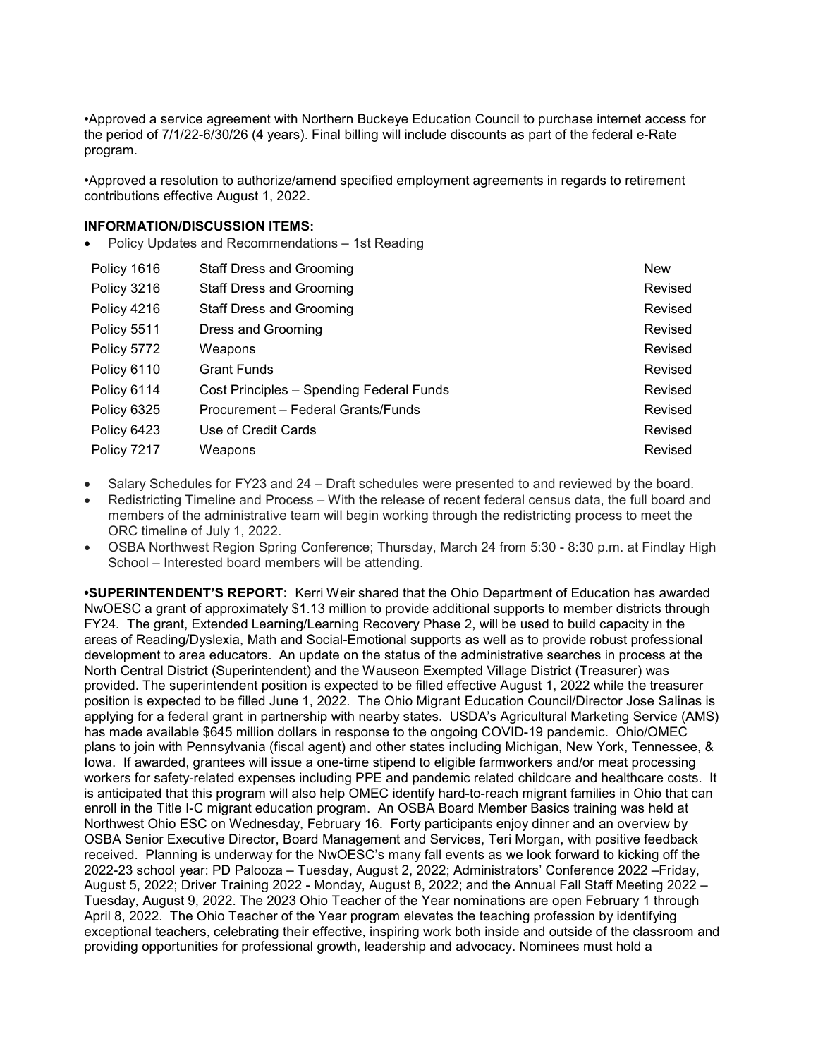•Approved a service agreement with Northern Buckeye Education Council to purchase internet access for the period of 7/1/22-6/30/26 (4 years). Final billing will include discounts as part of the federal e-Rate program.

•Approved a resolution to authorize/amend specified employment agreements in regards to retirement contributions effective August 1, 2022.

#### INFORMATION/DISCUSSION ITEMS:

• Policy Updates and Recommendations – 1st Reading

| Policy 1616 | <b>Staff Dress and Grooming</b>          | <b>New</b> |
|-------------|------------------------------------------|------------|
| Policy 3216 | <b>Staff Dress and Grooming</b>          | Revised    |
| Policy 4216 | <b>Staff Dress and Grooming</b>          | Revised    |
| Policy 5511 | Dress and Grooming                       | Revised    |
| Policy 5772 | Weapons                                  | Revised    |
| Policy 6110 | <b>Grant Funds</b>                       | Revised    |
| Policy 6114 | Cost Principles - Spending Federal Funds | Revised    |
| Policy 6325 | Procurement – Federal Grants/Funds       | Revised    |
| Policy 6423 | Use of Credit Cards                      | Revised    |
| Policy 7217 | Weapons                                  | Revised    |

- Salary Schedules for FY23 and 24 Draft schedules were presented to and reviewed by the board.
- Redistricting Timeline and Process With the release of recent federal census data, the full board and members of the administrative team will begin working through the redistricting process to meet the ORC timeline of July 1, 2022.
- OSBA Northwest Region Spring Conference; Thursday, March 24 from 5:30 8:30 p.m. at Findlay High School – Interested board members will be attending.

•SUPERINTENDENT'S REPORT: Kerri Weir shared that the Ohio Department of Education has awarded NwOESC a grant of approximately \$1.13 million to provide additional supports to member districts through FY24. The grant, Extended Learning/Learning Recovery Phase 2, will be used to build capacity in the areas of Reading/Dyslexia, Math and Social-Emotional supports as well as to provide robust professional development to area educators. An update on the status of the administrative searches in process at the North Central District (Superintendent) and the Wauseon Exempted Village District (Treasurer) was provided. The superintendent position is expected to be filled effective August 1, 2022 while the treasurer position is expected to be filled June 1, 2022. The Ohio Migrant Education Council/Director Jose Salinas is applying for a federal grant in partnership with nearby states. USDA's Agricultural Marketing Service (AMS) has made available \$645 million dollars in response to the ongoing COVID-19 pandemic. Ohio/OMEC plans to join with Pennsylvania (fiscal agent) and other states including Michigan, New York, Tennessee, & Iowa. If awarded, grantees will issue a one-time stipend to eligible farmworkers and/or meat processing workers for safety-related expenses including PPE and pandemic related childcare and healthcare costs. It is anticipated that this program will also help OMEC identify hard-to-reach migrant families in Ohio that can enroll in the Title I-C migrant education program. An OSBA Board Member Basics training was held at Northwest Ohio ESC on Wednesday, February 16. Forty participants enjoy dinner and an overview by OSBA Senior Executive Director, Board Management and Services, Teri Morgan, with positive feedback received. Planning is underway for the NwOESC's many fall events as we look forward to kicking off the 2022-23 school year: PD Palooza – Tuesday, August 2, 2022; Administrators' Conference 2022 –Friday, August 5, 2022; Driver Training 2022 - Monday, August 8, 2022; and the Annual Fall Staff Meeting 2022 – Tuesday, August 9, 2022. The 2023 Ohio Teacher of the Year nominations are open February 1 through April 8, 2022. The Ohio Teacher of the Year program elevates the teaching profession by identifying exceptional teachers, celebrating their effective, inspiring work both inside and outside of the classroom and providing opportunities for professional growth, leadership and advocacy. Nominees must hold a